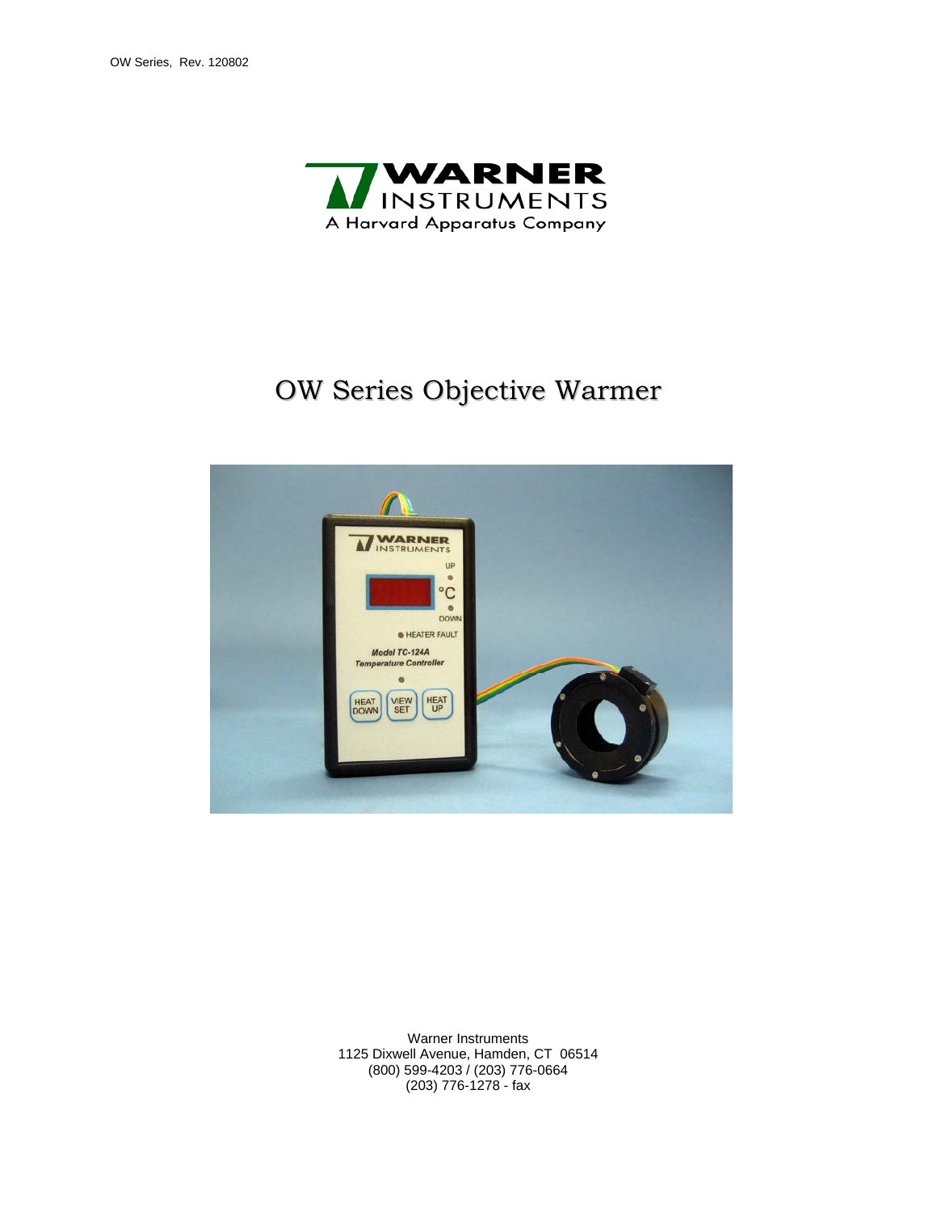

# OW Series Objective Warmer



Warner Instruments 1125 Dixwell Avenue, Hamden, CT 06514 (800) 599-4203 / (203) 776-0664 (203) 776-1278 - fax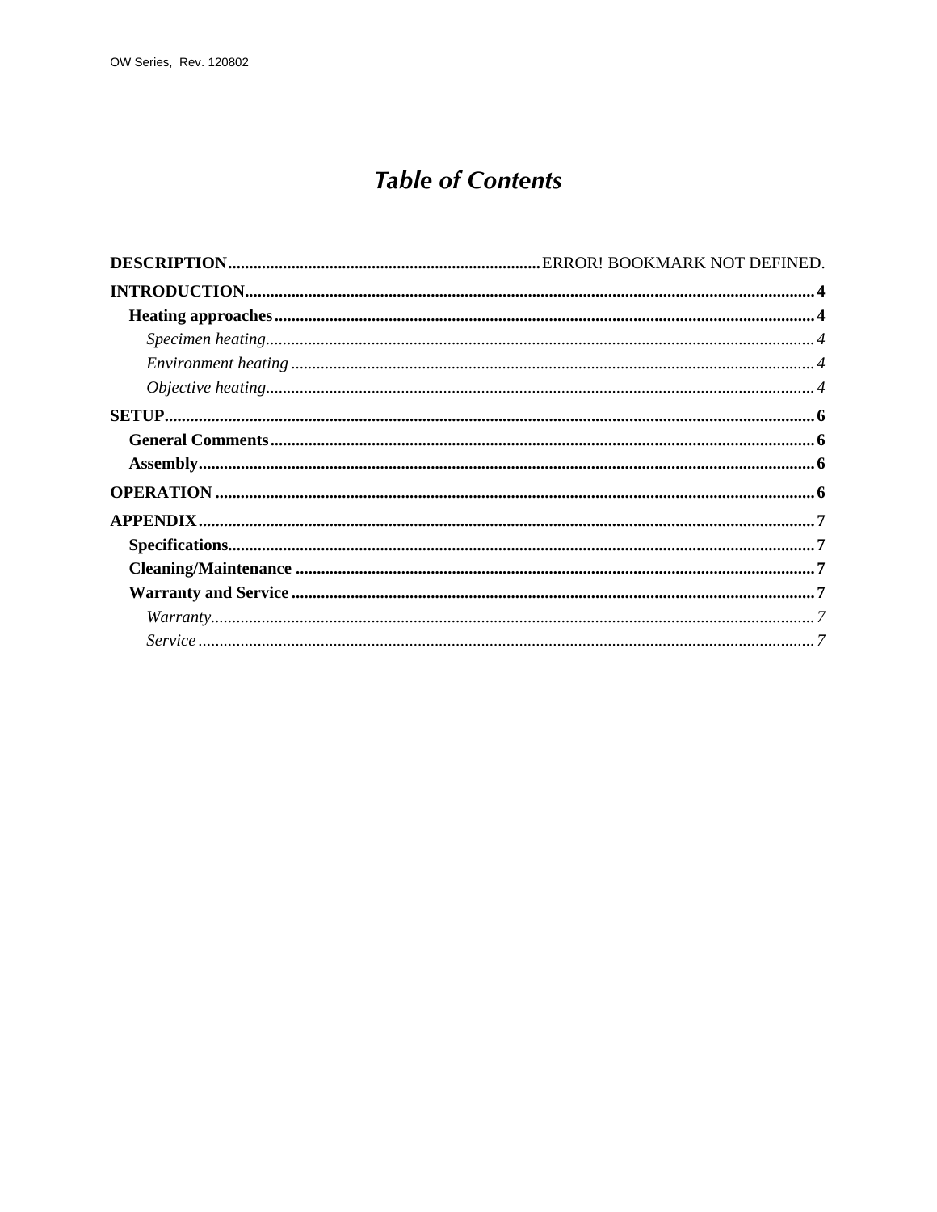## **Table of Contents**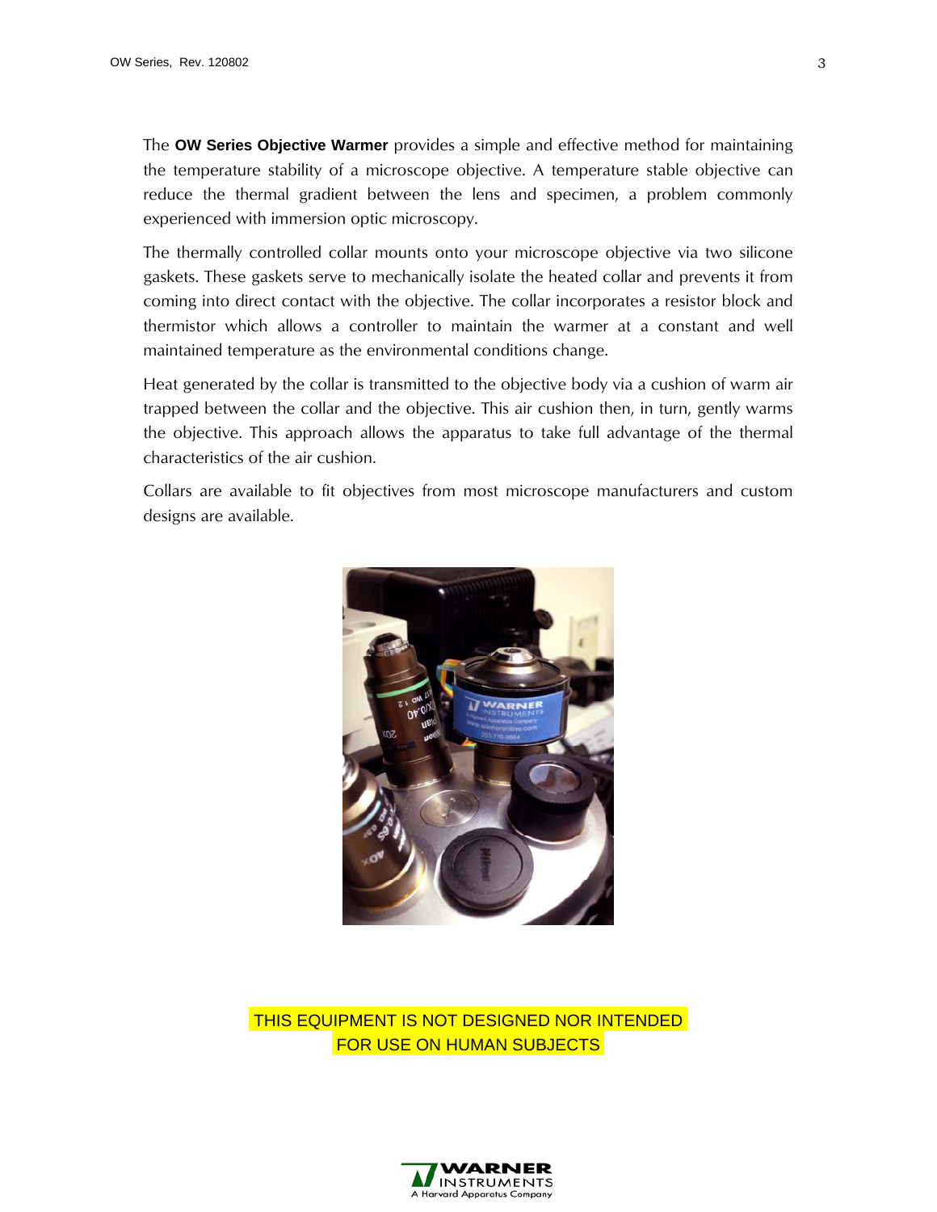The **OW Series Objective Warmer** provides a simple and effective method for maintaining the temperature stability of a microscope objective. A temperature stable objective can reduce the thermal gradient between the lens and specimen, a problem commonly experienced with immersion optic microscopy.

The thermally controlled collar mounts onto your microscope objective via two silicone gaskets. These gaskets serve to mechanically isolate the heated collar and prevents it from coming into direct contact with the objective. The collar incorporates a resistor block and thermistor which allows a controller to maintain the warmer at a constant and well maintained temperature as the environmental conditions change.

Heat generated by the collar is transmitted to the objective body via a cushion of warm air trapped between the collar and the objective. This air cushion then, in turn, gently warms the objective. This approach allows the apparatus to take full advantage of the thermal characteristics of the air cushion.

Collars are available to fit objectives from most microscope manufacturers and custom designs are available.



 THIS EQUIPMENT IS NOT DESIGNED NOR INTENDED FOR USE ON HUMAN SUBJECTS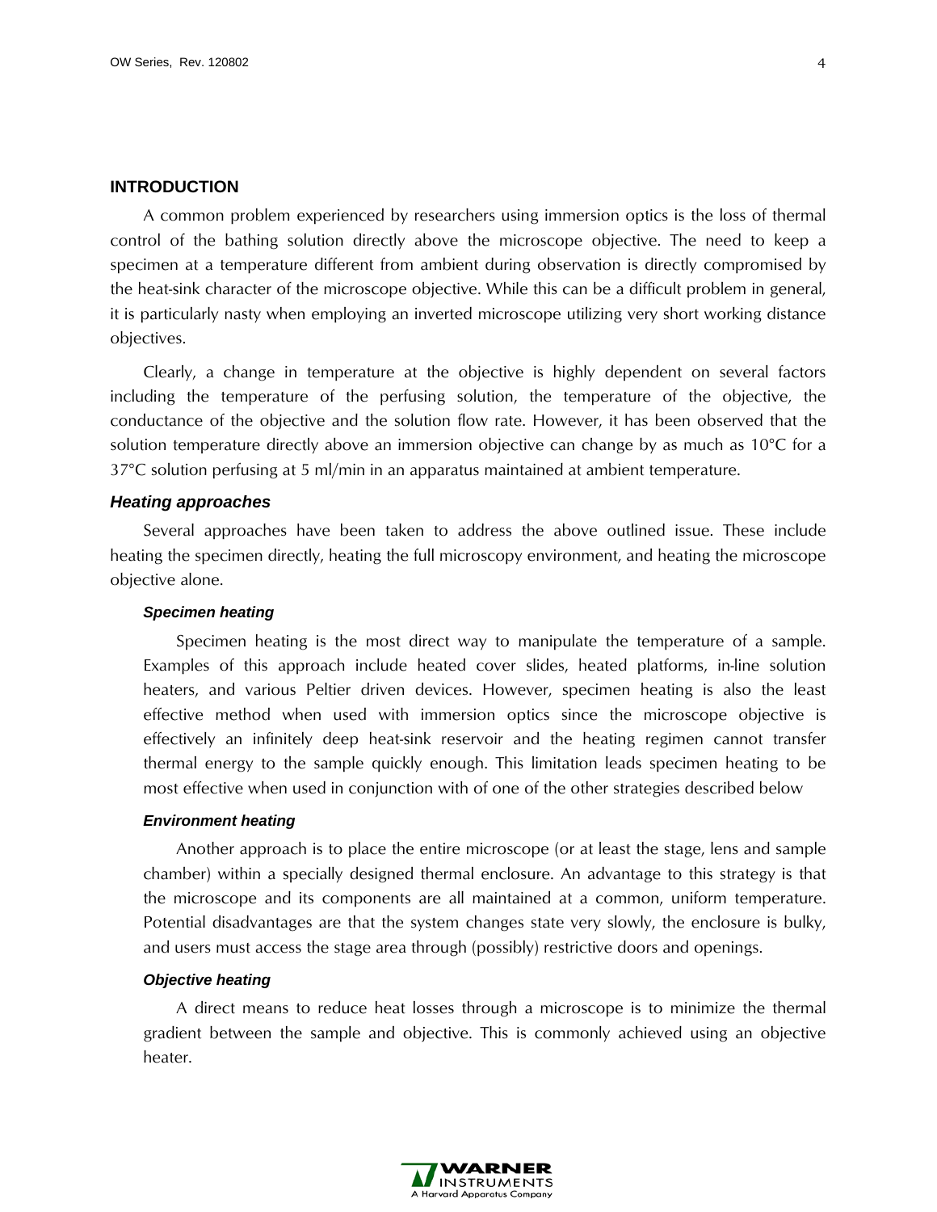## <span id="page-3-0"></span>**INTRODUCTION**

A common problem experienced by researchers using immersion optics is the loss of thermal control of the bathing solution directly above the microscope objective. The need to keep a specimen at a temperature different from ambient during observation is directly compromised by the heat-sink character of the microscope objective. While this can be a difficult problem in general, it is particularly nasty when employing an inverted microscope utilizing very short working distance objectives.

Clearly, a change in temperature at the objective is highly dependent on several factors including the temperature of the perfusing solution, the temperature of the objective, the conductance of the objective and the solution flow rate. However, it has been observed that the solution temperature directly above an immersion objective can change by as much as 10°C for a 37°C solution perfusing at 5 ml/min in an apparatus maintained at ambient temperature.

### <span id="page-3-1"></span>*Heating approaches*

<span id="page-3-2"></span>Several approaches have been taken to address the above outlined issue. These include heating the specimen directly, heating the full microscopy environment, and heating the microscope objective alone.

## *Specimen heating*

Specimen heating is the most direct way to manipulate the temperature of a sample. Examples of this approach include heated cover slides, heated platforms, in-line solution heaters, and various Peltier driven devices. However, specimen heating is also the least effective method when used with immersion optics since the microscope objective is effectively an infinitely deep heat-sink reservoir and the heating regimen cannot transfer thermal energy to the sample quickly enough. This limitation leads specimen heating to be most effective when used in conjunction with of one of the other strategies described below

#### <span id="page-3-3"></span>*Environment heating*

Another approach is to place the entire microscope (or at least the stage, lens and sample chamber) within a specially designed thermal enclosure. An advantage to this strategy is that the microscope and its components are all maintained at a common, uniform temperature. Potential disadvantages are that the system changes state very slowly, the enclosure is bulky, and users must access the stage area through (possibly) restrictive doors and openings.

### <span id="page-3-4"></span>*Objective heating*

A direct means to reduce heat losses through a microscope is to minimize the thermal gradient between the sample and objective. This is commonly achieved using an objective heater.

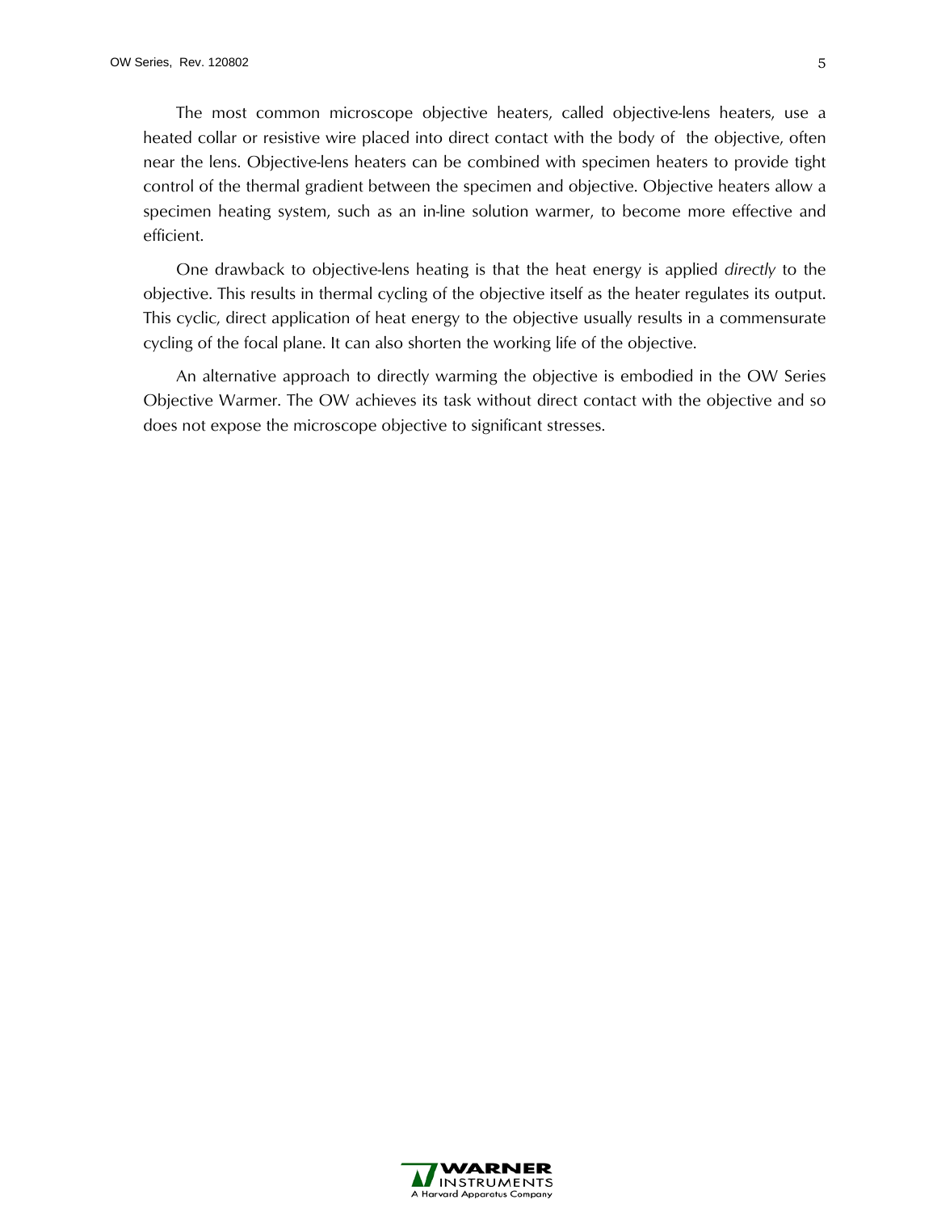The most common microscope objective heaters, called objective-lens heaters, use a heated collar or resistive wire placed into direct contact with the body of the objective, often near the lens. Objective-lens heaters can be combined with specimen heaters to provide tight control of the thermal gradient between the specimen and objective. Objective heaters allow a specimen heating system, such as an in-line solution warmer, to become more effective and efficient.

One drawback to objective-lens heating is that the heat energy is applied *directly* to the objective. This results in thermal cycling of the objective itself as the heater regulates its output. This cyclic, direct application of heat energy to the objective usually results in a commensurate cycling of the focal plane. It can also shorten the working life of the objective.

An alternative approach to directly warming the objective is embodied in the OW Series Objective Warmer. The OW achieves its task without direct contact with the objective and so does not expose the microscope objective to significant stresses.

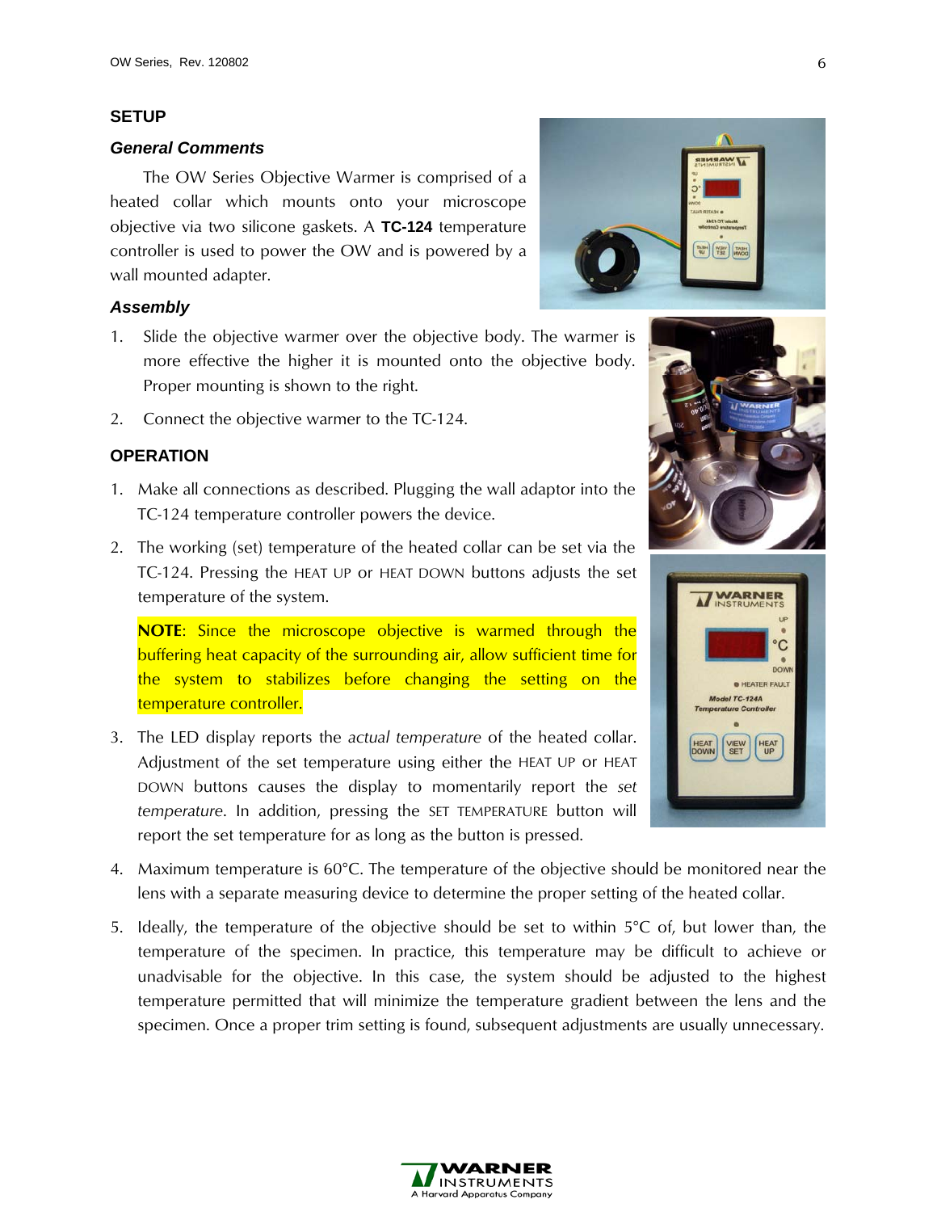## **SETUP**

#### <span id="page-5-1"></span>*General Comments*

The OW Series Objective Warmer is comprised of a heated collar which mounts onto your microscope objective via two silicone gaskets. A **TC-124** temperature controller is used to power the OW and is powered by a wall mounted adapter.

## <span id="page-5-2"></span>*Assembly*

- 1. Slide the objective warmer over the objective body. The warmer is more effective the higher it is mounted onto the objective body. Proper mounting is shown to the right.
- 2. Connect the objective warmer to the TC-124.

## <span id="page-5-3"></span><span id="page-5-0"></span>**OPERATION**

- 1. Make all connections as described. Plugging the wall adaptor into the TC-124 temperature controller powers the device.
- 2. The working (set) temperature of the heated collar can be set via the TC-124. Pressing the HEAT UP or HEAT DOWN buttons adjusts the set temperature of the system.

**NOTE**: Since the microscope objective is warmed through the buffering heat capacity of the surrounding air, allow sufficient time for the system to stabilizes before changing the setting on the temperature controller.

- 3. The LED display reports the *actual temperature* of the heated collar. Adjustment of the set temperature using either the HEAT UP or HEAT DOWN buttons causes the display to momentarily report the *set temperature*. In addition, pressing the SET TEMPERATURE button will report the set temperature for as long as the button is pressed.
- 4. Maximum temperature is 60°C. The temperature of the objective should be monitored near the lens with a separate measuring device to determine the proper setting of the heated collar.
- 5. Ideally, the temperature of the objective should be set to within 5°C of, but lower than, the temperature of the specimen. In practice, this temperature may be difficult to achieve or unadvisable for the objective. In this case, the system should be adjusted to the highest temperature permitted that will minimize the temperature gradient between the lens and the specimen. Once a proper trim setting is found, subsequent adjustments are usually unnecessary.